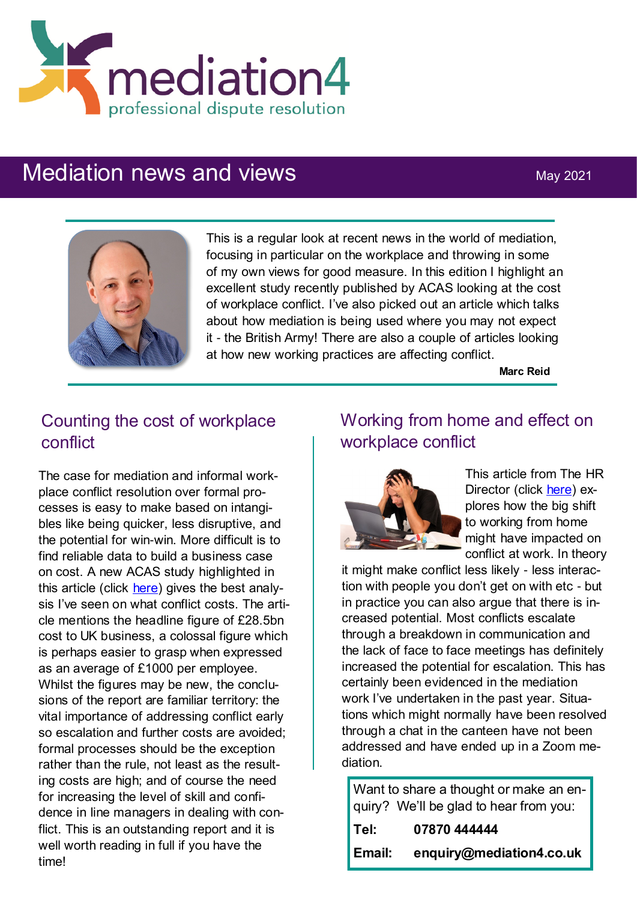

# Mediation news and views May 2021



This is a regular look at recent news in the world of mediation, focusing in particular on the workplace and throwing in some of my own views for good measure. In this edition I highlight an excellent study recently published by ACAS looking at the cost of workplace conflict. I've also picked out an article which talks about how mediation is being used where you may not expect it - the British Army! There are also a couple of articles looking at how new working practices are affecting conflict.

**Marc Reid**

# Counting the cost of workplace conflict

The case for mediation and informal workplace conflict resolution over formal processes is easy to make based on intangibles like being quicker, less disruptive, and the potential for win-win. More difficult is to find reliable data to build a business case on cost. A new ACAS study highlighted in this article (click [here\)](https://www.peoplemanagement.co.uk/voices/comment/can-we-afford-conflict-in-the-workplace) gives the best analysis I've seen on what conflict costs. The article mentions the headline figure of £28.5bn cost to UK business, a colossal figure which is perhaps easier to grasp when expressed as an average of £1000 per employee. Whilst the figures may be new, the conclusions of the report are familiar territory: the vital importance of addressing conflict early so escalation and further costs are avoided; formal processes should be the exception rather than the rule, not least as the resulting costs are high; and of course the need for increasing the level of skill and confidence in line managers in dealing with conflict. This is an outstanding report and it is well worth reading in full if you have the time!

# Working from home and effect on workplace conflict



This article from The HR Director (click [here\)](https://www.thehrdirector.com/what-does-the-wfh-revolution-mean-for-workplace-conflict/) explores how the big shift to working from home might have impacted on conflict at work. In theory

it might make conflict less likely - less interaction with people you don't get on with etc - but in practice you can also argue that there is increased potential. Most conflicts escalate through a breakdown in communication and the lack of face to face meetings has definitely increased the potential for escalation. This has certainly been evidenced in the mediation work I've undertaken in the past year. Situations which might normally have been resolved through a chat in the canteen have not been addressed and have ended up in a Zoom mediation.

Want to share a thought or make an enquiry? We'll be glad to hear from you:

| Tel:   | 07870 444444             |
|--------|--------------------------|
| Email: | enquiry@mediation4.co.uk |